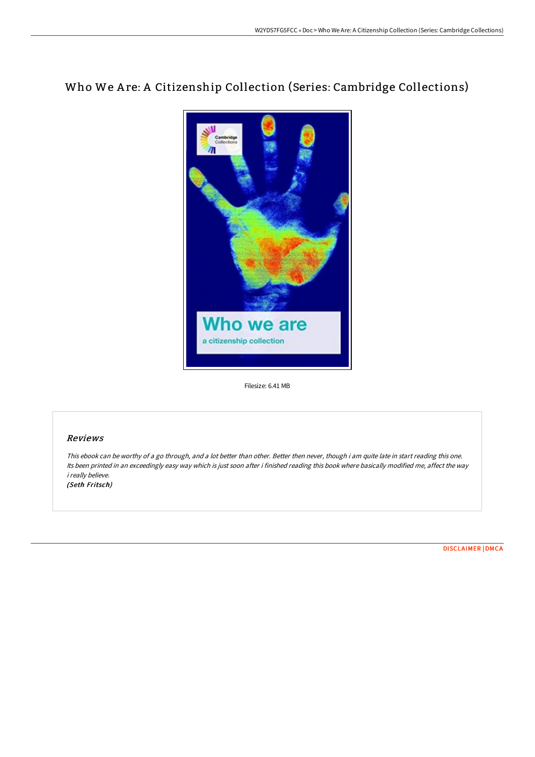## Who We Are: A Citizenship Collection (Series: Cambridge Collections)



Filesize: 6.41 MB

## Reviews

This ebook can be worthy of <sup>a</sup> go through, and <sup>a</sup> lot better than other. Better then never, though i am quite late in start reading this one. Its been printed in an exceedingly easy way which is just soon after i finished reading this book where basically modified me, affect the way i really believe. (Seth Fritsch)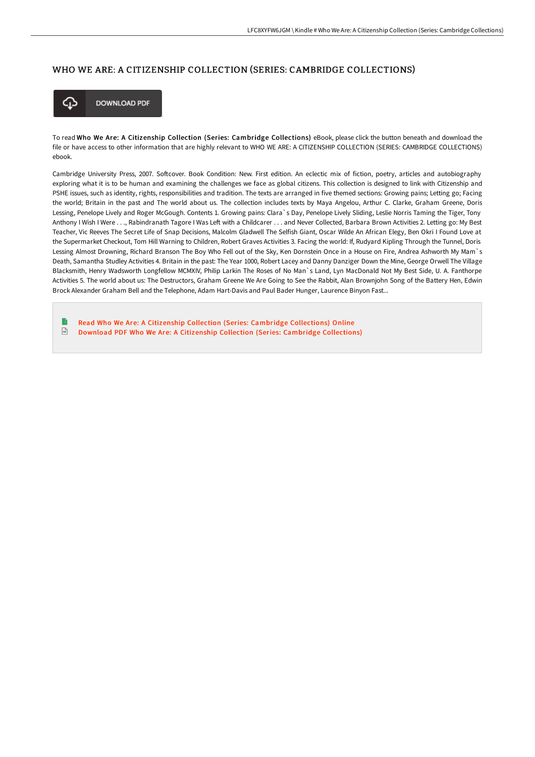## WHO WE ARE: A CITIZENSHIP COLLECTION (SERIES: CAMBRIDGE COLLECTIONS)



To read Who We Are: A Citizenship Collection (Series: Cambridge Collections) eBook, please click the button beneath and download the file or have access to other information that are highly relevant to WHO WE ARE: A CITIZENSHIP COLLECTION (SERIES: CAMBRIDGE COLLECTIONS) ebook.

Cambridge University Press, 2007. Softcover. Book Condition: New. First edition. An eclectic mix of fiction, poetry, articles and autobiography exploring what it is to be human and examining the challenges we face as global citizens. This collection is designed to link with Citizenship and PSHE issues, such as identity, rights, responsibilities and tradition. The texts are arranged in five themed sections: Growing pains; Letting go; Facing the world; Britain in the past and The world about us. The collection includes texts by Maya Angelou, Arthur C. Clarke, Graham Greene, Doris Lessing, Penelope Lively and Roger McGough. Contents 1. Growing pains: Clara`s Day, Penelope Lively Sliding, Leslie Norris Taming the Tiger, Tony Anthony I Wish I Were . . ., Rabindranath Tagore I Was Left with a Childcarer . . . and Never Collected, Barbara Brown Activities 2. Letting go: My Best Teacher, Vic Reeves The Secret Life of Snap Decisions, Malcolm Gladwell The Selfish Giant, Oscar Wilde An African Elegy, Ben Okri I Found Love at the Supermarket Checkout, Tom Hill Warning to Children, Robert Graves Activities 3. Facing the world: If, Rudyard Kipling Through the Tunnel, Doris Lessing Almost Drowning, Richard Branson The Boy Who Fell out of the Sky, Ken Dornstein Once in a House on Fire, Andrea Ashworth My Mam`s Death, Samantha Studley Activities 4. Britain in the past: The Year 1000, Robert Lacey and Danny Danziger Down the Mine, George Orwell The Village Blacksmith, Henry Wadsworth Longfellow MCMXIV, Philip Larkin The Roses of No Man`s Land, Lyn MacDonald Not My Best Side, U. A. Fanthorpe Activities 5. The world about us: The Destructors, Graham Greene We Are Going to See the Rabbit, Alan Brownjohn Song of the Battery Hen, Edwin Brock Alexander Graham Bell and the Telephone, Adam Hart-Davis and Paul Bader Hunger, Laurence Binyon Fast...

B Read Who We Are: A Citizenship Collection (Series: Cambridge [Collections\)](http://techno-pub.tech/who-we-are-a-citizenship-collection-series-cambr.html) Online  $\sqrt{\frac{1}{n}}$ Download PDF Who We Are: A Citizenship Collection (Series: Cambridge [Collections\)](http://techno-pub.tech/who-we-are-a-citizenship-collection-series-cambr.html)